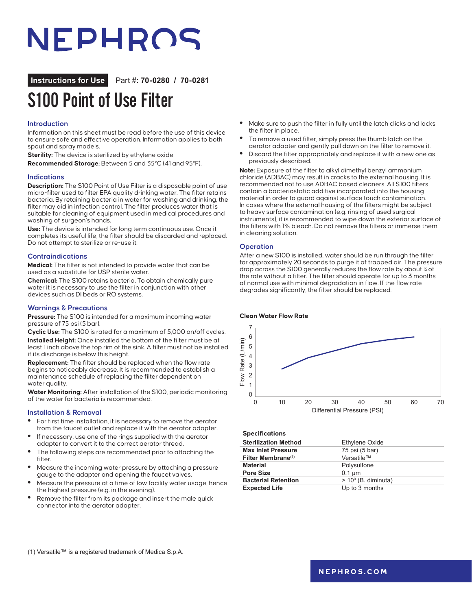# NEPHROS

# **Instructions for Use** Part #: **70-0280 / 70-0281**

# S100 Point of Use Filter

# **Introduction**

Information on this sheet must be read before the use of this device to ensure safe and effective operation. Information applies to both spout and spray models.

**Sterility:** The device is sterilized by ethylene oxide.

**Recommended Storage:** Between 5 and 35°C (41 and 95°F).

### **Indications**

**Description:** The S100 Point of Use Filter is a disposable point of use micro-filter used to filter EPA quality drinking water. The filter retains bacteria. By retaining bacteria in water for washing and drinking, the filter may aid in infection control. The filter produces water that is suitable for cleaning of equipment used in medical procedures and washing of surgeon's hands.

**Use:** The device is intended for long term continuous use. Once it completes its useful life, the filter should be discarded and replaced. Do not attempt to sterilize or re-use it.

#### **Contraindications**

**Medical:** The filter is not intended to provide water that can be used as a substitute for USP sterile water.

**Chemical:** The S100 retains bacteria. To obtain chemically pure water it is necessary to use the filter in conjunction with other devices such as DI beds or RO systems.

### **Warnings & Precautions**

**Pressure:** The S100 is intended for a maximum incoming water pressure of 75 psi (5 bar).

**Cyclic Use:** The S100 is rated for a maximum of 5,000 on/off cycles. **Installed Height:** Once installed the bottom of the filter must be at least 1 inch above the top rim of the sink. A filter must not be installed if its discharge is below this height.

**Replacement:** The filter should be replaced when the flow rate begins to noticeably decrease. It is recommended to establish a maintenance schedule of replacing the filter dependent on water quality.

**Water Monitoring:** After installation of the S100, periodic monitoring of the water for bacteria is recommended.

#### **Installation & Removal**

- **•** For first time installation, it is necessary to remove the aerator from the faucet outlet and replace it with the aerator adapter.
- **•** If necessary, use one of the rings supplied with the aerator adapter to convert it to the correct aerator thread.
- **•** The following steps are recommended prior to attaching the filter.
- **•** Measure the incoming water pressure by attaching a pressure gauge to the adapter and opening the faucet valves.
- **•** Measure the pressure at a time of low facility water usage, hence the highest pressure (e.g. in the evening).
- **•** Remove the filter from its package and insert the male quick connector into the aerator adapter.
- **•** Make sure to push the filter in fully until the latch clicks and locks the filter in place.
- **•** To remove a used filter, simply press the thumb latch on the aerator adapter and gently pull down on the filter to remove it.
- **•** Discard the filter appropriately and replace it with a new one as previously described.

**Note:** Exposure of the filter to alkyl dimethyl benzyl ammonium chloride (ADBAC) may result in cracks to the external housing. It is recommended not to use ADBAC based cleaners. All S100 filters contain a bacteriostatic additive incorporated into the housing material in order to guard against surface touch contamination. In cases where the external housing of the filters might be subject to heavy surface contamination (e.g. rinsing of used surgical instruments), it is recommended to wipe down the exterior surface of the filters with 1% bleach. Do not remove the filters or immerse them in cleaning solution.

#### **Operation**

After a new S100 is installed, water should be run through the filter for approximately 20 seconds to purge it of trapped air. The pressure drop across the S100 generally reduces the flow rate by about ¼ of the rate without a filter. The filter should operate for up to 3 months of normal use with minimal degradation in flow. If the flow rate degrades significantly, the filter should be replaced.

#### **Clean Water Flow Rate**



#### **Specifications**

| <b>Sterilization Method</b>    | Ethylene Oxide         |
|--------------------------------|------------------------|
| <b>Max Inlet Pressure</b>      | 75 psi (5 bar)         |
| Filter Membrane <sup>(1)</sup> | Versatile™             |
| <b>Material</b>                | Polysulfone            |
| Pore Size                      | $0.1 \mu m$            |
| <b>Bacterial Retention</b>     | $> 10^9$ (B. diminuta) |
| <b>Expected Life</b>           | Up to 3 months         |
|                                |                        |

(1) Versatile™ is a registered trademark of Medica S.p.A.